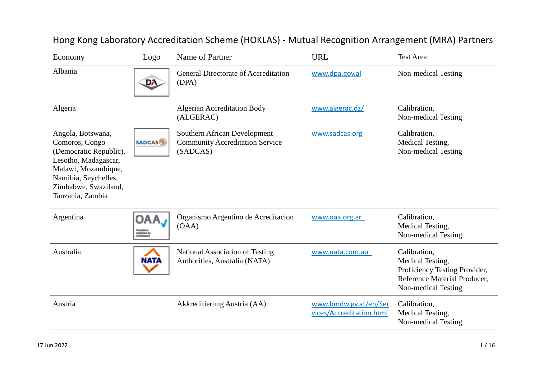| Economy                                                                                                                                                                          | Logo                                               | Name of Partner                                                                    | <b>URL</b>                                        | <b>Test Area</b>                                                                                                         |
|----------------------------------------------------------------------------------------------------------------------------------------------------------------------------------|----------------------------------------------------|------------------------------------------------------------------------------------|---------------------------------------------------|--------------------------------------------------------------------------------------------------------------------------|
| Albania                                                                                                                                                                          | DA.                                                | <b>General Directorate of Accreditation</b><br>(DPA)                               | www.dpa.gov.al                                    | Non-medical Testing                                                                                                      |
| Algeria                                                                                                                                                                          |                                                    | <b>Algerian Accreditation Body</b><br>(ALGERAC)                                    | www.algerac.dz/                                   | Calibration,<br>Non-medical Testing                                                                                      |
| Angola, Botswana,<br>Comoros, Congo<br>(Democratic Republic),<br>Lesotho, Madagascar,<br>Malawi, Mozambique,<br>Namibia, Seychelles,<br>Zimbabwe, Swaziland,<br>Tanzania, Zambia | <b>SADCAS</b>                                      | Southern African Development<br><b>Community Accreditation Service</b><br>(SADCAS) | www.sadcas.org                                    | Calibration,<br>Medical Testing,<br>Non-medical Testing                                                                  |
| Argentina                                                                                                                                                                        | OAA<br>Organismus<br>Anganiška dra<br>Annadisación | Organismo Argentino de Acreditacion<br>(OAA)                                       | www.oaa.org.ar                                    | Calibration,<br>Medical Testing,<br>Non-medical Testing                                                                  |
| Australia                                                                                                                                                                        | <b>NATA</b>                                        | <b>National Association of Testing</b><br>Authorities, Australia (NATA)            | www.nata.com.au                                   | Calibration,<br>Medical Testing,<br>Proficiency Testing Provider,<br>Reference Material Producer,<br>Non-medical Testing |
| Austria                                                                                                                                                                          |                                                    | Akkreditierung Austria (AA)                                                        | www.bmdw.gv.at/en/Ser<br>vices/Accreditation.html | Calibration,<br>Medical Testing,<br>Non-medical Testing                                                                  |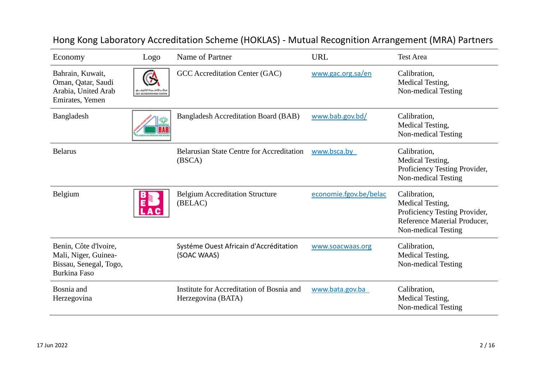| Economy                                                                                 | Logo                     | Name of Partner                                                 | <b>URL</b>             | <b>Test Area</b>                                                                                                         |
|-----------------------------------------------------------------------------------------|--------------------------|-----------------------------------------------------------------|------------------------|--------------------------------------------------------------------------------------------------------------------------|
| Bahrain, Kuwait,<br>Oman, Qatar, Saudi<br>Arabia, United Arab<br>Emirates, Yemen        | GEC ACCREDITATION CENTER | GCC Accreditation Center (GAC)                                  | www.gac.org.sa/en      | Calibration,<br>Medical Testing,<br>Non-medical Testing                                                                  |
| Bangladesh                                                                              |                          | <b>Bangladesh Accreditation Board (BAB)</b>                     | www.bab.gov.bd/        | Calibration,<br>Medical Testing,<br>Non-medical Testing                                                                  |
| <b>Belarus</b>                                                                          |                          | <b>Belarusian State Centre for Accreditation</b><br>(BSCA)      | www.bsca.by            | Calibration,<br>Medical Testing,<br>Proficiency Testing Provider,<br>Non-medical Testing                                 |
| Belgium                                                                                 |                          | <b>Belgium Accreditation Structure</b><br>(BELAC)               | economie.fgov.be/belac | Calibration,<br>Medical Testing,<br>Proficiency Testing Provider,<br>Reference Material Producer,<br>Non-medical Testing |
| Benin, Côte d'Ivoire,<br>Mali, Niger, Guinea-<br>Bissau, Senegal, Togo,<br>Burkina Faso |                          | Systéme Ouest Africain d'Accréditation<br>(SOAC WAAS)           | www.soacwaas.org       | Calibration,<br>Medical Testing,<br>Non-medical Testing                                                                  |
| Bosnia and<br>Herzegovina                                                               |                          | Institute for Accreditation of Bosnia and<br>Herzegovina (BATA) | www.bata.gov.ba        | Calibration,<br>Medical Testing,<br>Non-medical Testing                                                                  |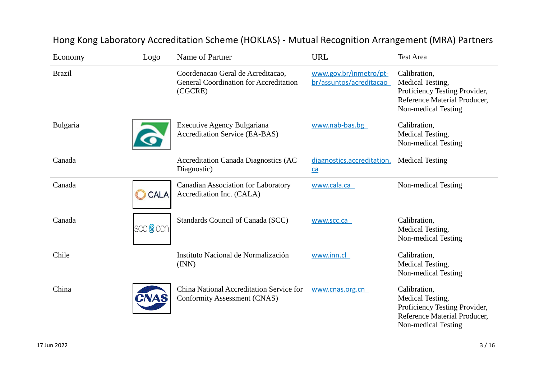| Economy       | Logo             | Name of Partner                                                                               | <b>URL</b>                                        | <b>Test Area</b>                                                                                                         |
|---------------|------------------|-----------------------------------------------------------------------------------------------|---------------------------------------------------|--------------------------------------------------------------------------------------------------------------------------|
| <b>Brazil</b> |                  | Coordenacao Geral de Acreditacao,<br><b>General Coordination for Accreditation</b><br>(CGCRE) | www.gov.br/inmetro/pt-<br>br/assuntos/acreditacao | Calibration,<br>Medical Testing,<br>Proficiency Testing Provider,<br>Reference Material Producer,<br>Non-medical Testing |
| Bulgaria      |                  | Executive Agency Bulgariana<br><b>Accreditation Service (EA-BAS)</b>                          | www.nab-bas.bg                                    | Calibration,<br>Medical Testing,<br>Non-medical Testing                                                                  |
| Canada        |                  | <b>Accreditation Canada Diagnostics (AC</b><br>Diagnostic)                                    | diagnostics.accreditation.<br>$ca$                | <b>Medical Testing</b>                                                                                                   |
| Canada        | CALA             | <b>Canadian Association for Laboratory</b><br>Accreditation Inc. (CALA)                       | www.cala.ca                                       | Non-medical Testing                                                                                                      |
| Canada        | scc <b>@</b> ccn | Standards Council of Canada (SCC)                                                             | www.scc.ca                                        | Calibration,<br>Medical Testing,<br>Non-medical Testing                                                                  |
| Chile         |                  | Instituto Nacional de Normalización<br>(INN)                                                  | www.inn.cl                                        | Calibration,<br>Medical Testing,<br>Non-medical Testing                                                                  |
| China         | CNAS             | China National Accreditation Service for<br>Conformity Assessment (CNAS)                      | www.cnas.org.cn                                   | Calibration,<br>Medical Testing,<br>Proficiency Testing Provider,<br>Reference Material Producer,<br>Non-medical Testing |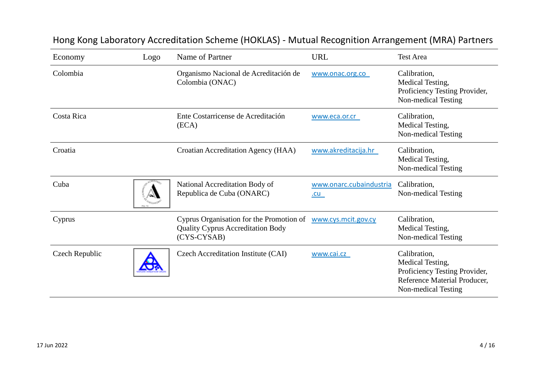| Economy        | Logo | Name of Partner                                                                                     | <b>URL</b>                     | <b>Test Area</b>                                                                                                         |
|----------------|------|-----------------------------------------------------------------------------------------------------|--------------------------------|--------------------------------------------------------------------------------------------------------------------------|
| Colombia       |      | Organismo Nacional de Acreditación de<br>Colombia (ONAC)                                            | www.onac.org.co                | Calibration,<br>Medical Testing,<br>Proficiency Testing Provider,<br>Non-medical Testing                                 |
| Costa Rica     |      | Ente Costarricense de Acreditación<br>(ECA)                                                         | www.eca.or.cr                  | Calibration,<br>Medical Testing,<br>Non-medical Testing                                                                  |
| Croatia        |      | Croatian Accreditation Agency (HAA)                                                                 | www.akreditacija.hr            | Calibration,<br>Medical Testing,<br>Non-medical Testing                                                                  |
| Cuba           |      | National Accreditation Body of<br>Republica de Cuba (ONARC)                                         | www.onarc.cubaindustria<br>.CU | Calibration,<br>Non-medical Testing                                                                                      |
| Cyprus         |      | Cyprus Organisation for the Promotion of<br><b>Quality Cyprus Accreditation Body</b><br>(CYS-CYSAB) | www.cys.mcit.gov.cy            | Calibration,<br>Medical Testing,<br>Non-medical Testing                                                                  |
| Czech Republic |      | Czech Accreditation Institute (CAI)                                                                 | www.cai.cz                     | Calibration,<br>Medical Testing,<br>Proficiency Testing Provider,<br>Reference Material Producer,<br>Non-medical Testing |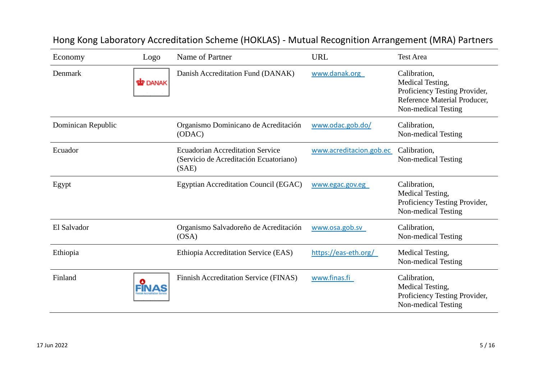| Economy            | Logo         | Name of Partner                                                                            | <b>URL</b>              | <b>Test Area</b>                                                                                                         |
|--------------------|--------------|--------------------------------------------------------------------------------------------|-------------------------|--------------------------------------------------------------------------------------------------------------------------|
| Denmark            | <b>DANAK</b> | Danish Accreditation Fund (DANAK)                                                          | www.danak.org           | Calibration,<br>Medical Testing,<br>Proficiency Testing Provider,<br>Reference Material Producer,<br>Non-medical Testing |
| Dominican Republic |              | Organismo Dominicano de Acreditación<br>(ODAC)                                             | www.odac.gob.do/        | Calibration,<br>Non-medical Testing                                                                                      |
| Ecuador            |              | <b>Ecuadorian Accreditation Service</b><br>(Servicio de Acreditación Ecuatoriano)<br>(SAE) | www.acreditacion.gob.ec | Calibration,<br>Non-medical Testing                                                                                      |
| Egypt              |              | <b>Egyptian Accreditation Council (EGAC)</b>                                               | www.egac.gov.eg         | Calibration,<br>Medical Testing,<br>Proficiency Testing Provider,<br>Non-medical Testing                                 |
| El Salvador        |              | Organismo Salvadoreño de Acreditación<br>OSA)                                              | www.osa.gob.sv          | Calibration,<br>Non-medical Testing                                                                                      |
| Ethiopia           |              | Ethiopia Accreditation Service (EAS)                                                       | https://eas-eth.org/    | Medical Testing,<br>Non-medical Testing                                                                                  |
| Finland            |              | Finnish Accreditation Service (FINAS)                                                      | www.finas.fi            | Calibration,<br>Medical Testing,<br>Proficiency Testing Provider,<br>Non-medical Testing                                 |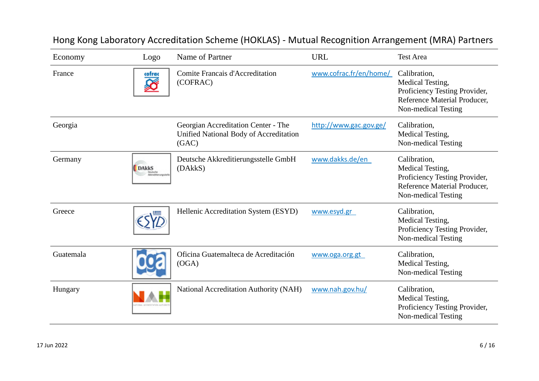| Economy   | Logo         | Name of Partner                                                                        | <b>URL</b>             | <b>Test Area</b>                                                                                                         |
|-----------|--------------|----------------------------------------------------------------------------------------|------------------------|--------------------------------------------------------------------------------------------------------------------------|
| France    | cofrac<br>℅  | <b>Comite Francais d'Accreditation</b><br>(COFRAC)                                     | www.cofrac.fr/en/home/ | Calibration,<br>Medical Testing,<br>Proficiency Testing Provider,<br>Reference Material Producer,<br>Non-medical Testing |
| Georgia   |              | Georgian Accreditation Center - The<br>Unified National Body of Accreditation<br>(GAC) | http://www.gac.gov.ge/ | Calibration,<br>Medical Testing,<br>Non-medical Testing                                                                  |
| Germany   | <b>DAkkS</b> | Deutsche Akkreditierungsstelle GmbH<br>(DAkkS)                                         | www.dakks.de/en        | Calibration,<br>Medical Testing,<br>Proficiency Testing Provider,<br>Reference Material Producer,<br>Non-medical Testing |
| Greece    |              | Hellenic Accreditation System (ESYD)                                                   | www.esyd.gr            | Calibration,<br>Medical Testing,<br>Proficiency Testing Provider,<br>Non-medical Testing                                 |
| Guatemala |              | Oficina Guatemalteca de Acreditación<br>(OGA)                                          | www.oga.org.gt         | Calibration,<br>Medical Testing,<br>Non-medical Testing                                                                  |
| Hungary   |              | National Accreditation Authority (NAH)                                                 | www.nah.gov.hu/        | Calibration,<br>Medical Testing,<br>Proficiency Testing Provider,<br>Non-medical Testing                                 |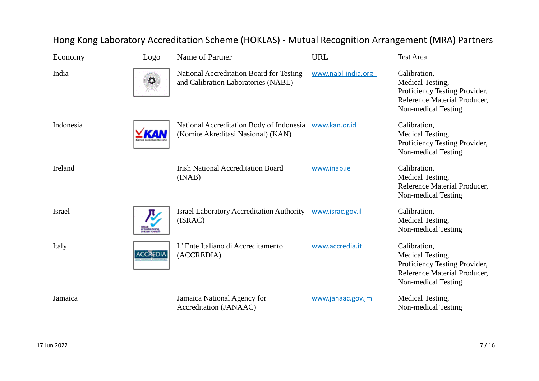| Economy       | Logo            | Name of Partner                                                                 | <b>URL</b>         | <b>Test Area</b>                                                                                                         |
|---------------|-----------------|---------------------------------------------------------------------------------|--------------------|--------------------------------------------------------------------------------------------------------------------------|
| India         | 森               | National Accreditation Board for Testing<br>and Calibration Laboratories (NABL) | www.nabl-india.org | Calibration,<br>Medical Testing,<br>Proficiency Testing Provider,<br>Reference Material Producer,<br>Non-medical Testing |
| Indonesia     |                 | National Accreditation Body of Indonesia<br>(Komite Akreditasi Nasional) (KAN)  | www.kan.or.id      | Calibration,<br>Medical Testing,<br>Proficiency Testing Provider,<br>Non-medical Testing                                 |
| Ireland       |                 | <b>Irish National Accreditation Board</b><br>(INAB)                             | www.inab.ie        | Calibration,<br>Medical Testing,<br>Reference Material Producer,<br>Non-medical Testing                                  |
| <b>Israel</b> |                 | <b>Israel Laboratory Accreditation Authority</b><br>(ISRAC)                     | www.israc.gov.il   | Calibration,<br>Medical Testing,<br>Non-medical Testing                                                                  |
| Italy         | <b>ACCREDIA</b> | L'Ente Italiano di Accreditamento<br>(ACCREDIA)                                 | www.accredia.it    | Calibration,<br>Medical Testing,<br>Proficiency Testing Provider,<br>Reference Material Producer,<br>Non-medical Testing |
| Jamaica       |                 | Jamaica National Agency for<br>Accreditation (JANAAC)                           | www.janaac.gov.jm  | Medical Testing,<br>Non-medical Testing                                                                                  |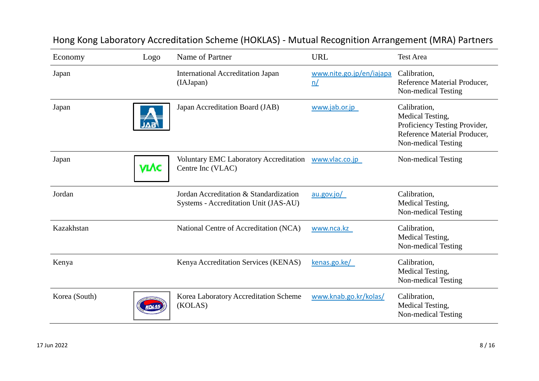| Economy       | Logo | Name of Partner                                                                 | <b>URL</b>                     | <b>Test Area</b>                                                                                                         |
|---------------|------|---------------------------------------------------------------------------------|--------------------------------|--------------------------------------------------------------------------------------------------------------------------|
| Japan         |      | <b>International Accreditation Japan</b><br>(IAJapan)                           | www.nite.go.jp/en/iajapa<br>n/ | Calibration,<br>Reference Material Producer,<br>Non-medical Testing                                                      |
| Japan         |      | Japan Accreditation Board (JAB)                                                 | www.jab.or.jp                  | Calibration,<br>Medical Testing,<br>Proficiency Testing Provider,<br>Reference Material Producer,<br>Non-medical Testing |
| Japan         | VLAC | <b>Voluntary EMC Laboratory Accreditation</b><br>Centre Inc (VLAC)              | www.vlac.co.jp                 | Non-medical Testing                                                                                                      |
| Jordan        |      | Jordan Accreditation & Standardization<br>Systems - Accreditation Unit (JAS-AU) | au.gov.io/                     | Calibration,<br>Medical Testing,<br>Non-medical Testing                                                                  |
| Kazakhstan    |      | National Centre of Accreditation (NCA)                                          | www.nca.kz                     | Calibration,<br>Medical Testing,<br>Non-medical Testing                                                                  |
| Kenya         |      | Kenya Accreditation Services (KENAS)                                            | kenas.go.ke/                   | Calibration,<br>Medical Testing,<br>Non-medical Testing                                                                  |
| Korea (South) |      | Korea Laboratory Accreditation Scheme<br>(KOLAS)                                | www.knab.go.kr/kolas/          | Calibration,<br>Medical Testing,<br>Non-medical Testing                                                                  |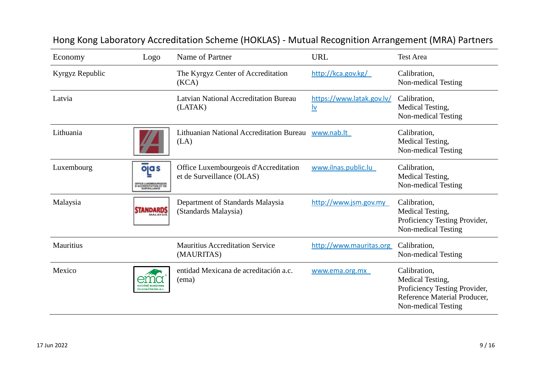| Economy         | Logo                                               | Name of Partner                                                    | <b>URL</b>                                               | <b>Test Area</b>                                                                                                         |
|-----------------|----------------------------------------------------|--------------------------------------------------------------------|----------------------------------------------------------|--------------------------------------------------------------------------------------------------------------------------|
| Kyrgyz Republic |                                                    | The Kyrgyz Center of Accreditation<br>(KCA)                        | http://kca.gov.kg/                                       | Calibration,<br>Non-medical Testing                                                                                      |
| Latvia          |                                                    | <b>Latvian National Accreditation Bureau</b><br>(LATAK)            | https://www.latak.gov.lv/<br>$\underline{\underline{v}}$ | Calibration,<br>Medical Testing,<br>Non-medical Testing                                                                  |
| Lithuania       |                                                    | <b>Lithuanian National Accreditation Bureau</b><br>(LA)            | www.nab.lt                                               | Calibration,<br>Medical Testing,<br>Non-medical Testing                                                                  |
| Luxembourg      | ojas<br>FROE LUXEMBOURGEOIS<br>ACCREDITATION ET DE | Office Luxembourgeois d'Accreditation<br>et de Surveillance (OLAS) | www.ilnas.public.lu                                      | Calibration,<br>Medical Testing,<br>Non-medical Testing                                                                  |
| Malaysia        | <b>STANDARDS</b>                                   | Department of Standards Malaysia<br>(Standards Malaysia)           | http://www.jsm.gov.my                                    | Calibration,<br>Medical Testing,<br>Proficiency Testing Provider,<br>Non-medical Testing                                 |
| Mauritius       |                                                    | <b>Mauritius Accreditation Service</b><br>(MAURITAS)               | http://www.mauritas.org                                  | Calibration,<br>Non-medical Testing                                                                                      |
| Mexico          | de acreditación a.c.                               | entidad Mexicana de acreditación a.c.<br>(ema)                     | www.ema.org.mx                                           | Calibration,<br>Medical Testing,<br>Proficiency Testing Provider,<br>Reference Material Producer,<br>Non-medical Testing |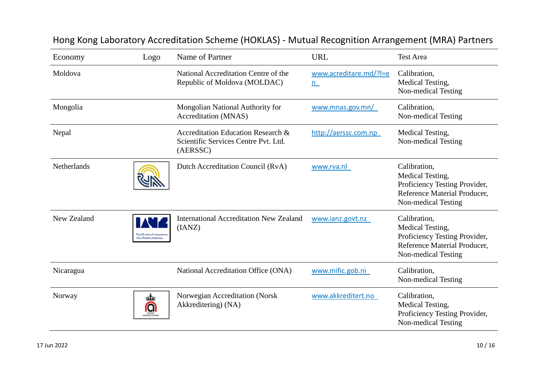| Economy     | Logo                  | Name of Partner                                                                        | <b>URL</b>                  | <b>Test Area</b>                                                                                                         |
|-------------|-----------------------|----------------------------------------------------------------------------------------|-----------------------------|--------------------------------------------------------------------------------------------------------------------------|
| Moldova     |                       | National Accreditation Centre of the<br>Republic of Moldova (MOLDAC)                   | www.acreditare.md/?l=e<br>n | Calibration,<br>Medical Testing,<br>Non-medical Testing                                                                  |
| Mongolia    |                       | Mongolian National Authority for<br>Accreditation (MNAS)                               | www.mnas.gov.mn/            | Calibration,<br>Non-medical Testing                                                                                      |
| Nepal       |                       | Accreditation Education Research &<br>Scientific Services Centre Pvt. Ltd.<br>(AERSSC) | http://aerssc.com.np        | Medical Testing,<br>Non-medical Testing                                                                                  |
| Netherlands |                       | Dutch Accreditation Council (RvA)                                                      | www.rva.nl                  | Calibration,<br>Medical Testing,<br>Proficiency Testing Provider,<br>Reference Material Producer,<br>Non-medical Testing |
| New Zealand | Tohu Motatau Aotearoa | <b>International Accreditation New Zealand</b><br>(IANZ)                               | www.ianz.govt.nz            | Calibration,<br>Medical Testing,<br>Proficiency Testing Provider,<br>Reference Material Producer,<br>Non-medical Testing |
| Nicaragua   |                       | National Accreditation Office (ONA)                                                    | www.mific.gob.ni            | Calibration,<br>Non-medical Testing                                                                                      |
| Norway      | டங்<br>Q              | Norwegian Accreditation (Norsk<br>Akkreditering) (NA)                                  | www.akkreditert.no          | Calibration,<br>Medical Testing,<br>Proficiency Testing Provider,<br>Non-medical Testing                                 |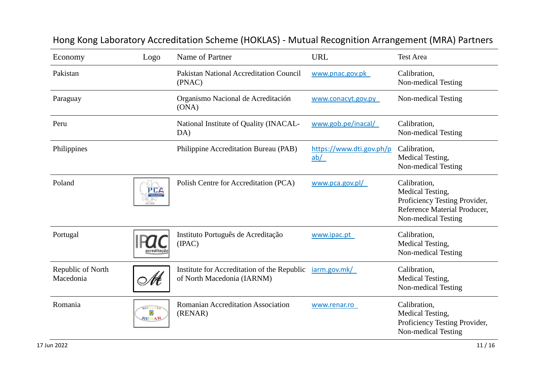| Economy                        | Logo                                | Name of Partner                                                           | <b>URL</b>                      | <b>Test Area</b>                                                                                                         |
|--------------------------------|-------------------------------------|---------------------------------------------------------------------------|---------------------------------|--------------------------------------------------------------------------------------------------------------------------|
| Pakistan                       |                                     | <b>Pakistan National Accreditation Council</b><br>(PNAC)                  | www.pnac.gov.pk                 | Calibration,<br>Non-medical Testing                                                                                      |
| Paraguay                       |                                     | Organismo Nacional de Acreditación<br>(ONA)                               | www.conacyt.gov.py              | Non-medical Testing                                                                                                      |
| Peru                           |                                     | National Institute of Quality (INACAL-<br>DA)                             | www.gob.pe/inacal/              | Calibration,<br>Non-medical Testing                                                                                      |
| Philippines                    |                                     | Philippine Accreditation Bureau (PAB)                                     | https://www.dti.gov.ph/p<br>ab/ | Calibration,<br>Medical Testing,<br>Non-medical Testing                                                                  |
| Poland                         | PCA                                 | Polish Centre for Accreditation (PCA)                                     | www.pca.gov.pl/                 | Calibration,<br>Medical Testing,<br>Proficiency Testing Provider,<br>Reference Material Producer,<br>Non-medical Testing |
| Portugal                       | screditacă                          | Instituto Português de Acreditação<br>(IPAC)                              | www.ipac.pt                     | Calibration,<br>Medical Testing,<br>Non-medical Testing                                                                  |
| Republic of North<br>Macedonia | Nŧ                                  | Institute for Accreditation of the Republic<br>of North Macedonia (IARNM) | jarm.gov.mk/                    | Calibration,<br>Medical Testing,<br>Non-medical Testing                                                                  |
| Romania                        | <b>ROMANIA</b><br>灩<br><b>RENAR</b> | <b>Romanian Accreditation Association</b><br>(RENAR)                      | www.renar.ro                    | Calibration,<br>Medical Testing,<br>Proficiency Testing Provider,<br>Non-medical Testing                                 |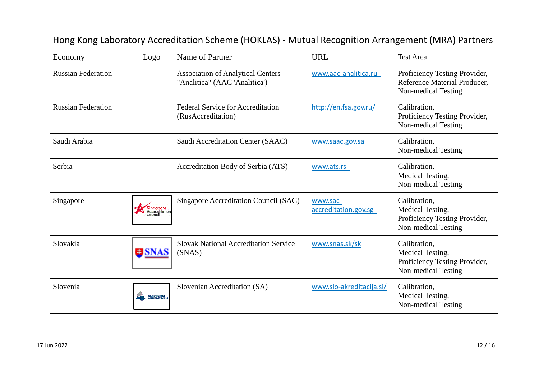| Economy                   | Logo                                  | Name of Partner                                                           | <b>URL</b>                       | <b>Test Area</b>                                                                         |
|---------------------------|---------------------------------------|---------------------------------------------------------------------------|----------------------------------|------------------------------------------------------------------------------------------|
| <b>Russian Federation</b> |                                       | <b>Association of Analytical Centers</b><br>"Analitica" (AAC 'Analitica') | www.aac-analitica.ru             | Proficiency Testing Provider,<br>Reference Material Producer,<br>Non-medical Testing     |
| <b>Russian Federation</b> |                                       | <b>Federal Service for Accreditation</b><br>(RusAccreditation)            | http://en.fsa.gov.ru/            | Calibration,<br>Proficiency Testing Provider,<br>Non-medical Testing                     |
| Saudi Arabia              |                                       | Saudi Accreditation Center (SAAC)                                         | www.saac.gov.sa                  | Calibration,<br>Non-medical Testing                                                      |
| Serbia                    |                                       | Accreditation Body of Serbia (ATS)                                        | www.ats.rs                       | Calibration,<br>Medical Testing,<br>Non-medical Testing                                  |
| Singapore                 | Singapore<br>Accreditation<br>Council | Singapore Accreditation Council (SAC)                                     | www.sac-<br>accreditation.gov.sg | Calibration,<br>Medical Testing,<br>Proficiency Testing Provider,<br>Non-medical Testing |
| Slovakia                  | <b>EISNAS</b>                         | <b>Slovak National Accreditation Service</b><br>(SNAS)                    | www.snas.sk/sk                   | Calibration,<br>Medical Testing,<br>Proficiency Testing Provider,<br>Non-medical Testing |
| Slovenia                  | <b>SLOVENSKA<br/>AKREDITACIJA</b>     | Slovenian Accreditation (SA)                                              | www.slo-akreditacija.si/         | Calibration,<br>Medical Testing,<br>Non-medical Testing                                  |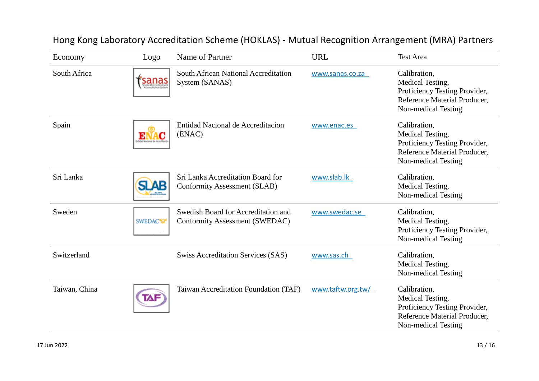| Economy       | Logo           | Name of Partner                                                          | <b>URL</b>        | <b>Test Area</b>                                                                                                         |
|---------------|----------------|--------------------------------------------------------------------------|-------------------|--------------------------------------------------------------------------------------------------------------------------|
| South Africa  | sanas          | South African National Accreditation<br>System (SANAS)                   | www.sanas.co.za   | Calibration,<br>Medical Testing,<br>Proficiency Testing Provider,<br>Reference Material Producer,<br>Non-medical Testing |
| Spain         |                | Entidad Nacional de Accreditacion<br>(ENAC)                              | www.enac.es       | Calibration,<br>Medical Testing,<br>Proficiency Testing Provider,<br>Reference Material Producer,<br>Non-medical Testing |
| Sri Lanka     | <b>SLAB</b>    | Sri Lanka Accreditation Board for<br><b>Conformity Assessment (SLAB)</b> | www.slab.lk       | Calibration,<br>Medical Testing,<br>Non-medical Testing                                                                  |
| Sweden        | <b>SWEDACW</b> | Swedish Board for Accreditation and<br>Conformity Assessment (SWEDAC)    | www.swedac.se     | Calibration,<br>Medical Testing,<br>Proficiency Testing Provider,<br>Non-medical Testing                                 |
| Switzerland   |                | <b>Swiss Accreditation Services (SAS)</b>                                | www.sas.ch        | Calibration,<br>Medical Testing,<br>Non-medical Testing                                                                  |
| Taiwan, China | TAF            | Taiwan Accreditation Foundation (TAF)                                    | www.taftw.org.tw/ | Calibration,<br>Medical Testing,<br>Proficiency Testing Provider,<br>Reference Material Producer,<br>Non-medical Testing |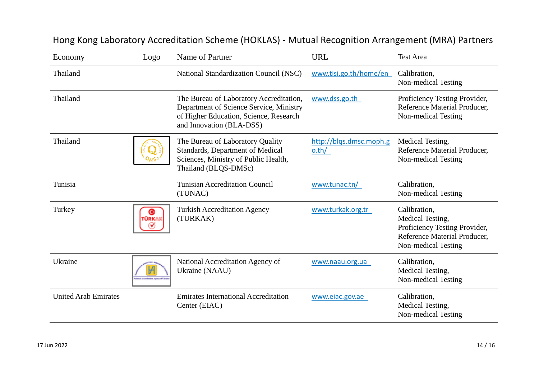| Economy                     | Logo       | Name of Partner                                                                                                                                          | <b>URL</b>                       | <b>Test Area</b>                                                                                                         |
|-----------------------------|------------|----------------------------------------------------------------------------------------------------------------------------------------------------------|----------------------------------|--------------------------------------------------------------------------------------------------------------------------|
| Thailand                    |            | National Standardization Council (NSC)                                                                                                                   | www.tisi.go.th/home/en           | Calibration,<br>Non-medical Testing                                                                                      |
| Thailand                    |            | The Bureau of Laboratory Accreditation,<br>Department of Science Service, Ministry<br>of Higher Education, Science, Research<br>and Innovation (BLA-DSS) | www.dss.go.th                    | Proficiency Testing Provider,<br>Reference Material Producer,<br>Non-medical Testing                                     |
| Thailand                    |            | The Bureau of Laboratory Quality<br>Standards, Department of Medical<br>Sciences, Ministry of Public Health,<br>Thailand (BLQS-DMSc)                     | http://blqs.dmsc.moph.g<br>o.th/ | Medical Testing,<br>Reference Material Producer,<br>Non-medical Testing                                                  |
| Tunisia                     |            | <b>Tunisian Accreditation Council</b><br>(TUNAC)                                                                                                         | www.tunac.tn/                    | Calibration,<br>Non-medical Testing                                                                                      |
| Turkey                      | c<br>TÜRKA | <b>Turkish Accreditation Agency</b><br>(TURKAK)                                                                                                          | www.turkak.org.tr                | Calibration,<br>Medical Testing,<br>Proficiency Testing Provider,<br>Reference Material Producer,<br>Non-medical Testing |
| Ukraine                     |            | National Accreditation Agency of<br>Ukraine (NAAU)                                                                                                       | www.naau.org.ua                  | Calibration,<br>Medical Testing,<br>Non-medical Testing                                                                  |
| <b>United Arab Emirates</b> |            | <b>Emirates International Accreditation</b><br>Center (EIAC)                                                                                             | www.eiac.gov.ae                  | Calibration,<br>Medical Testing,<br>Non-medical Testing                                                                  |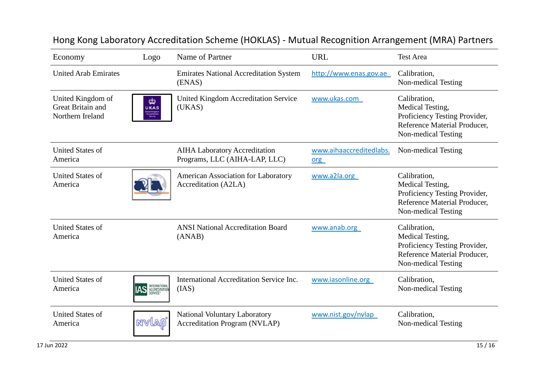| Economy                                                    | Logo                                                          | Name of Partner                                                              | <b>URL</b>                     | <b>Test Area</b>                                                                                                         |
|------------------------------------------------------------|---------------------------------------------------------------|------------------------------------------------------------------------------|--------------------------------|--------------------------------------------------------------------------------------------------------------------------|
| <b>United Arab Emirates</b>                                |                                                               | <b>Emirates National Accreditation System</b><br>(ENAS)                      | http://www.enas.gov.ae         | Calibration,<br>Non-medical Testing                                                                                      |
| United Kingdom of<br>Great Britain and<br>Northern Ireland | ф<br><b>UKAS</b><br>inited Kingdo<br>Accreditation<br>Service | <b>United Kingdom Accreditation Service</b><br>(UKAS)                        | www.ukas.com                   | Calibration,<br>Medical Testing,<br>Proficiency Testing Provider,<br>Reference Material Producer,<br>Non-medical Testing |
| <b>United States of</b><br>America                         |                                                               | <b>AIHA Laboratory Accreditation</b><br>Programs, LLC (AIHA-LAP, LLC)        | www.aihaaccreditedlabs.<br>org | Non-medical Testing                                                                                                      |
| <b>United States of</b><br>America                         |                                                               | American Association for Laboratory<br>Accreditation (A2LA)                  | www.a2la.org                   | Calibration,<br>Medical Testing,<br>Proficiency Testing Provider,<br>Reference Material Producer,<br>Non-medical Testing |
| <b>United States of</b><br>America                         |                                                               | <b>ANSI National Accreditation Board</b><br>(ANAB)                           | www.anab.org                   | Calibration,<br>Medical Testing,<br>Proficiency Testing Provider,<br>Reference Material Producer,<br>Non-medical Testing |
| <b>United States of</b><br>America                         | <b>IAS</b> INTERNATIONAL                                      | International Accreditation Service Inc.<br>(IAS)                            | www.iasonline.org              | Calibration,<br>Non-medical Testing                                                                                      |
| <b>United States of</b><br>America                         | nvlaø                                                         | <b>National Voluntary Laboratory</b><br><b>Accreditation Program (NVLAP)</b> | www.nist.gov/nvlap             | Calibration,<br>Non-medical Testing                                                                                      |